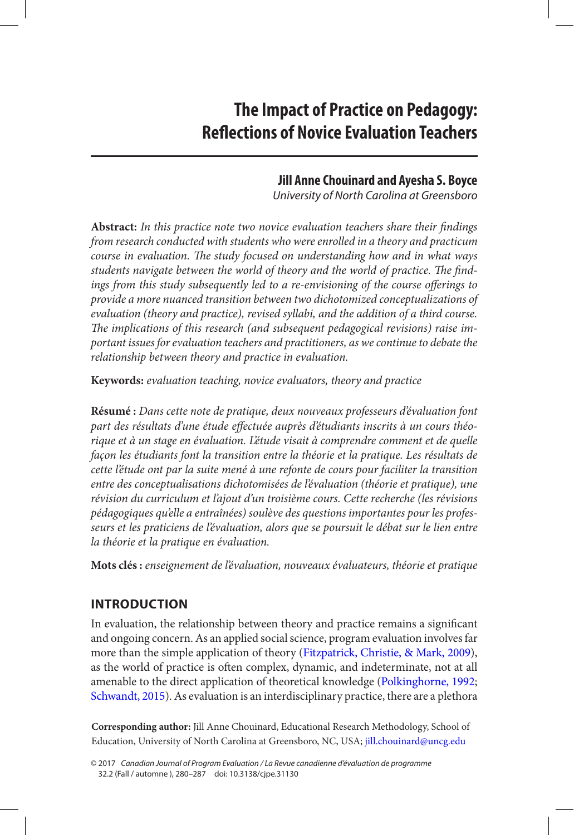# <span id="page-0-0"></span>**The Impact of Practice on Pedagogy: Reflections of Novice Evaluation Teachers**

# **Jill Anne Chouinard and Ayesha S. Boyce**

*University of North Carolina at Greensboro*

**Abstract:** *In this practice note two novice evaluation teachers share their findings from research conducted with students who were enrolled in a theory and practicum course in evaluation. The study focused on understanding how and in what ways students navigate between the world of theory and the world of practice. The findings from this study subsequently led to a re-envisioning of the course offerings to provide a more nuanced transition between two dichotomized conceptualizations of evaluation (theory and practice), revised syllabi, and the addition of a third course. The implications of this research (and subsequent pedagogical revisions) raise important issues for evaluation teachers and practitioners, as we continue to debate the relationship between theory and practice in evaluation.*

**Keywords:** *evaluation teaching, novice evaluators, theory and practice*

**Résumé :** *Dans cette note de pratique, deux nouveaux professeurs d'évaluation font part des résultats d'une étude effectuée auprès d'étudiants inscrits à un cours théorique et à un stage en évaluation. L'étude visait à comprendre comment et de quelle façon les étudiants font la transition entre la théorie et la pratique. Les résultats de cette l'étude ont par la suite mené à une refonte de cours pour faciliter la transition entre des conceptualisations dichotomisées de l'évaluation (théorie et pratique), une révision du curriculum et l'ajout d'un troisième cours. Cette recherche (les révisions pédagogiques qu'elle a entraînées) soulève des questions importantes pour les professeurs et les praticiens de l'évaluation, alors que se poursuit le débat sur le lien entre la théorie et la pratique en évaluation.*

**Mots clés :** *enseignement de l'évaluation, nouveaux évaluateurs, théorie et pratique*

# **Introduction**

In evaluation, the relationship between theory and practice remains a significant and ongoing concern. As an applied social science, program evaluation involves far more than the simple application of theory ([Fitzpatrick, Christie, & Mark, 2009\)](#page-6-0), as the world of practice is often complex, dynamic, and indeterminate, not at all amenable to the direct application of theoretical knowledge ([Polkinghorne, 1992](#page-6-0); [Schwandt, 2015](#page-7-0)). As evaluation is an interdisciplinary practice, there are a plethora

**Corresponding author:** Jill Anne Chouinard, Educational Research Methodology, School of Education, University of North Carolina at Greensboro, NC, USA; [jill.chouinard@uncg.edu](mailto:jill.chouinard@uncg.edu)

<sup>© 2017</sup> *Canadian Journal of Program Evaluation / La Revue canadienne d'évaluation de programme* 32.2 (Fall / automne ), 280–287 doi: 10.3138/cjpe.31130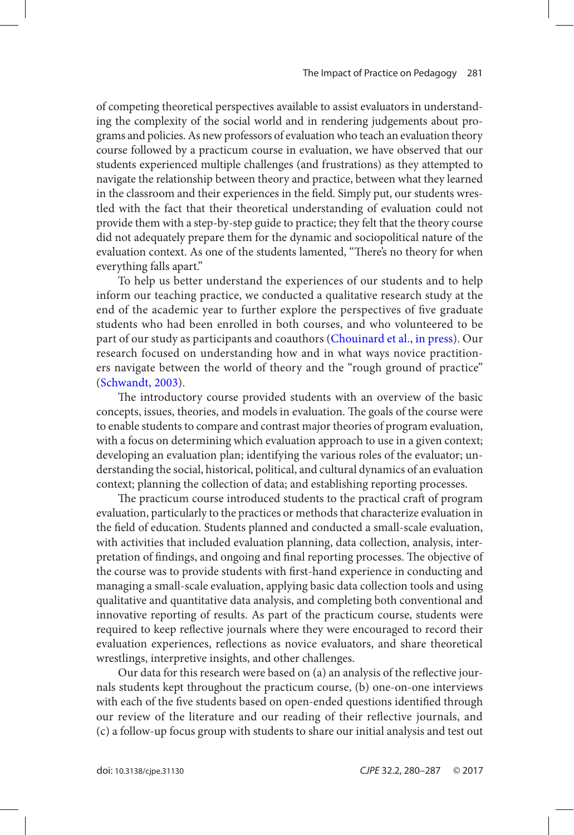<span id="page-1-0"></span>of competing theoretical perspectives available to assist evaluators in understanding the complexity of the social world and in rendering judgements about programs and policies. As new professors of evaluation who teach an evaluation theory course followed by a practicum course in evaluation, we have observed that our students experienced multiple challenges (and frustrations) as they attempted to navigate the relationship between theory and practice, between what they learned in the classroom and their experiences in the field. Simply put, our students wrestled with the fact that their theoretical understanding of evaluation could not provide them with a step-by-step guide to practice; they felt that the theory course did not adequately prepare them for the dynamic and sociopolitical nature of the evaluation context. As one of the students lamented, "There's no theory for when everything falls apart."

To help us better understand the experiences of our students and to help inform our teaching practice, we conducted a qualitative research study at the end of the academic year to further explore the perspectives of five graduate students who had been enrolled in both courses, and who volunteered to be part of our study as participants and coauthors ([Chouinard et al., in press](#page-5-0)). Our research focused on understanding how and in what ways novice practitioners navigate between the world of theory and the "rough ground of practice" ([Schwandt, 2003](#page-6-0)).

The introductory course provided students with an overview of the basic concepts, issues, theories, and models in evaluation. The goals of the course were to enable students to compare and contrast major theories of program evaluation, with a focus on determining which evaluation approach to use in a given context; developing an evaluation plan; identifying the various roles of the evaluator; understanding the social, historical, political, and cultural dynamics of an evaluation context; planning the collection of data; and establishing reporting processes.

The practicum course introduced students to the practical craft of program evaluation, particularly to the practices or methods that characterize evaluation in the field of education. Students planned and conducted a small-scale evaluation, with activities that included evaluation planning, data collection, analysis, interpretation of findings, and ongoing and final reporting processes. The objective of the course was to provide students with first-hand experience in conducting and managing a small-scale evaluation, applying basic data collection tools and using qualitative and quantitative data analysis, and completing both conventional and innovative reporting of results. As part of the practicum course, students were required to keep reflective journals where they were encouraged to record their evaluation experiences, reflections as novice evaluators, and share theoretical wrestlings, interpretive insights, and other challenges.

Our data for this research were based on (a) an analysis of the reflective journals students kept throughout the practicum course, (b) one-on-one interviews with each of the five students based on open-ended questions identified through our review of the literature and our reading of their reflective journals, and (c) a follow-up focus group with students to share our initial analysis and test out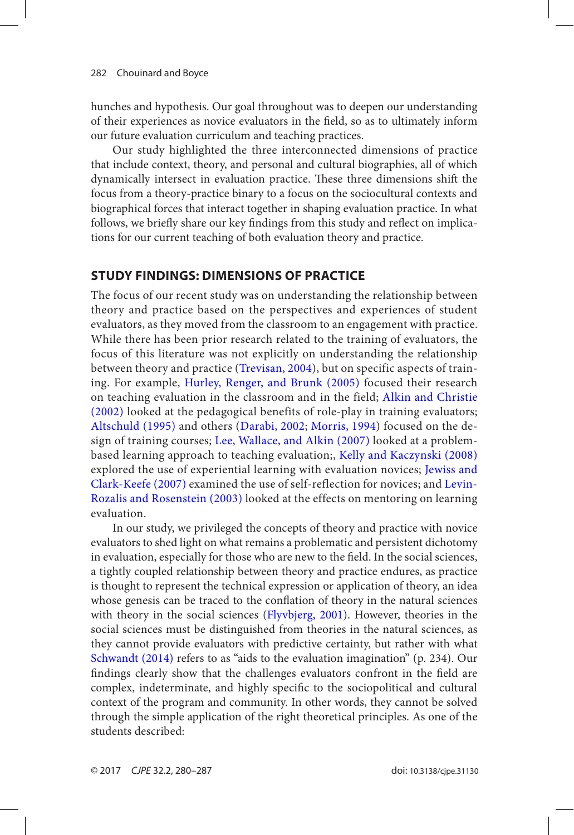<span id="page-2-0"></span>hunches and hypothesis. Our goal throughout was to deepen our understanding of their experiences as novice evaluators in the field, so as to ultimately inform our future evaluation curriculum and teaching practices.

Our study highlighted the three interconnected dimensions of practice that include context, theory, and personal and cultural biographies, all of which dynamically intersect in evaluation practice. These three dimensions shift the focus from a theory-practice binary to a focus on the sociocultural contexts and biographical forces that interact together in shaping evaluation practice. In what follows, we briefly share our key findings from this study and reflect on implications for our current teaching of both evaluation theory and practice.

## **Study Findings: Dimensions of Practice**

The focus of our recent study was on understanding the relationship between theory and practice based on the perspectives and experiences of student evaluators, as they moved from the classroom to an engagement with practice. While there has been prior research related to the training of evaluators, the focus of this literature was not explicitly on understanding the relationship between theory and practice ([Trevisan, 2004](#page-7-0)), but on specific aspects of training. For example, [Hurley, Renger, and Brunk \(2005\)](#page-6-0) focused their research on teaching evaluation in the classroom and in the field; [Alkin and Christie](#page-5-0) [\(2002\)](#page-5-0) looked at the pedagogical benefits of role-play in training evaluators; [Altschuld \(1995\)](#page-5-0) and others ([Darabi, 2002](#page-6-0); [Morris, 1994](#page-6-0)) focused on the design of training courses; [Lee, Wallace, and Alkin \(2007\)](#page-6-0) looked at a problembased learning approach to teaching evaluation;, [Kelly and Kaczynski \(2008\)](#page-6-0) explored the use of experiential learning with evaluation novices; [Jewiss and](#page-6-0) [Clark-Keefe \(2007\)](#page-6-0) examined the use of self-reflection for novices; and [Levin-](#page-6-0)[Rozalis and Rosenstein \(2003\)](#page-6-0) looked at the effects on mentoring on learning evaluation.

In our study, we privileged the concepts of theory and practice with novice evaluators to shed light on what remains a problematic and persistent dichotomy in evaluation, especially for those who are new to the field. In the social sciences, a tightly coupled relationship between theory and practice endures, as practice is thought to represent the technical expression or application of theory, an idea whose genesis can be traced to the conflation of theory in the natural sciences with theory in the social sciences ([Flyvbjerg, 2001](#page-6-0)). However, theories in the social sciences must be distinguished from theories in the natural sciences, as they cannot provide evaluators with predictive certainty, but rather with what [Schwandt \(2014\)](#page-7-0) refers to as "aids to the evaluation imagination" (p. 234). Our findings clearly show that the challenges evaluators confront in the field are complex, indeterminate, and highly specific to the sociopolitical and cultural context of the program and community. In other words, they cannot be solved through the simple application of the right theoretical principles. As one of the students described: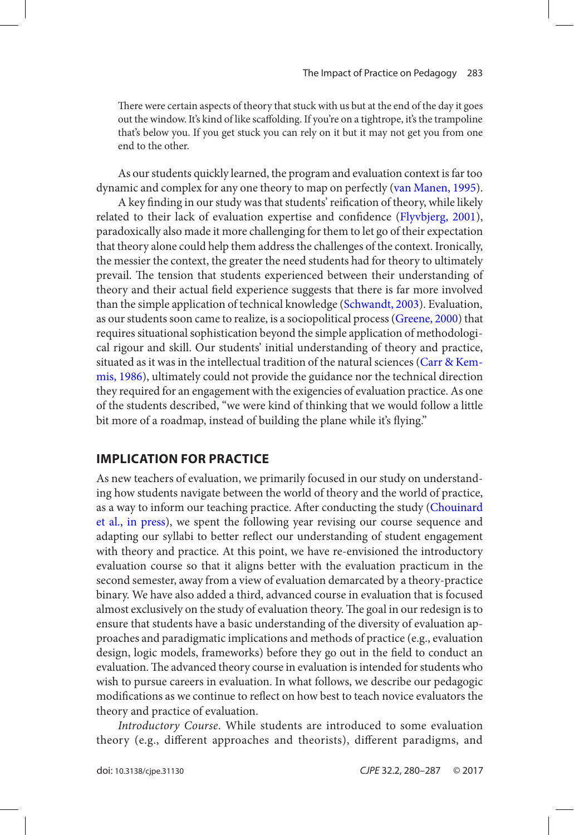<span id="page-3-0"></span>There were certain aspects of theory that stuck with us but at the end of the day it goes out the window. It's kind of like scaffolding. If you're on a tightrope, it's the trampoline that's below you. If you get stuck you can rely on it but it may not get you from one end to the other.

As our students quickly learned, the program and evaluation context is far too dynamic and complex for any one theory to map on perfectly [\(van Manen, 1995](#page-7-0)).

A key finding in our study was that students' reification of theory, while likely related to their lack of evaluation expertise and confidence ([Flyvbjerg, 2001](#page-6-0)), paradoxically also made it more challenging for them to let go of their expectation that theory alone could help them address the challenges of the context. Ironically, the messier the context, the greater the need students had for theory to ultimately prevail. The tension that students experienced between their understanding of theory and their actual field experience suggests that there is far more involved than the simple application of technical knowledge ([Schwandt, 2003](#page-6-0)). Evaluation, as our students soon came to realize, is a sociopolitical process ([Greene, 2000](#page-6-0)) that requires situational sophistication beyond the simple application of methodological rigour and skill. Our students' initial understanding of theory and practice, situated as it was in the intellectual tradition of the natural sciences ([Carr & Kem](#page-5-0)[mis, 1986](#page-5-0)), ultimately could not provide the guidance nor the technical direction they required for an engagement with the exigencies of evaluation practice. As one of the students described, "we were kind of thinking that we would follow a little bit more of a roadmap, instead of building the plane while it's flying."

#### **Implication for Practice**

As new teachers of evaluation, we primarily focused in our study on understanding how students navigate between the world of theory and the world of practice, as a way to inform our teaching practice. After conducting the study ([Chouinard](#page-5-0)  [et al., in press](#page-5-0)), we spent the following year revising our course sequence and adapting our syllabi to better reflect our understanding of student engagement with theory and practice. At this point, we have re-envisioned the introductory evaluation course so that it aligns better with the evaluation practicum in the second semester, away from a view of evaluation demarcated by a theory-practice binary. We have also added a third, advanced course in evaluation that is focused almost exclusively on the study of evaluation theory. The goal in our redesign is to ensure that students have a basic understanding of the diversity of evaluation approaches and paradigmatic implications and methods of practice (e.g., evaluation design, logic models, frameworks) before they go out in the field to conduct an evaluation. The advanced theory course in evaluation is intended for students who wish to pursue careers in evaluation. In what follows, we describe our pedagogic modifications as we continue to reflect on how best to teach novice evaluators the theory and practice of evaluation.

*Introductory Course*. While students are introduced to some evaluation theory (e.g., different approaches and theorists), different paradigms, and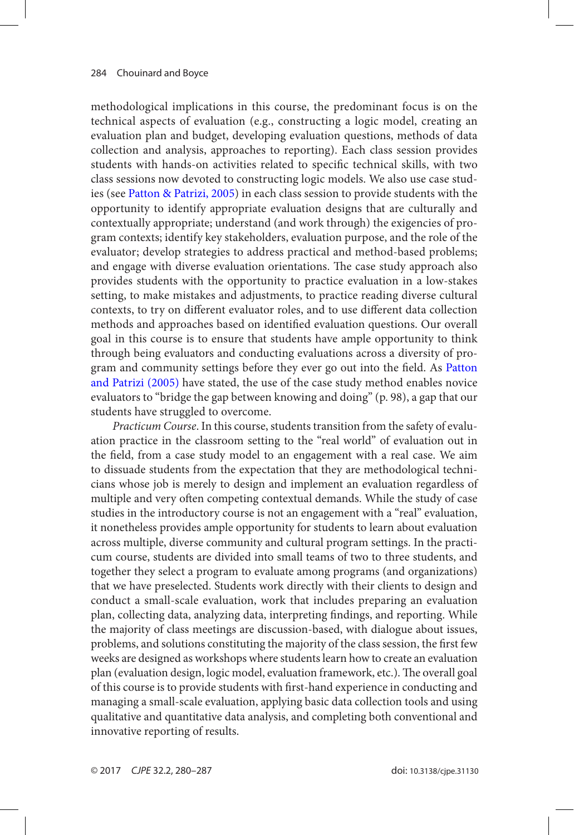<span id="page-4-0"></span>methodological implications in this course, the predominant focus is on the technical aspects of evaluation (e.g., constructing a logic model, creating an evaluation plan and budget, developing evaluation questions, methods of data collection and analysis, approaches to reporting). Each class session provides students with hands-on activities related to specific technical skills, with two class sessions now devoted to constructing logic models. We also use case studies (see [Patton & Patrizi, 2005](#page-6-0)) in each class session to provide students with the opportunity to identify appropriate evaluation designs that are culturally and contextually appropriate; understand (and work through) the exigencies of program contexts; identify key stakeholders, evaluation purpose, and the role of the evaluator; develop strategies to address practical and method-based problems; and engage with diverse evaluation orientations. The case study approach also provides students with the opportunity to practice evaluation in a low-stakes setting, to make mistakes and adjustments, to practice reading diverse cultural contexts, to try on different evaluator roles, and to use different data collection methods and approaches based on identified evaluation questions. Our overall goal in this course is to ensure that students have ample opportunity to think through being evaluators and conducting evaluations across a diversity of program and community settings before they ever go out into the field. As [Patton](#page-6-0)  [and Patrizi \(2005\)](#page-6-0) have stated, the use of the case study method enables novice evaluators to "bridge the gap between knowing and doing" (p. 98), a gap that our students have struggled to overcome.

*Practicum Course*. In this course, students transition from the safety of evaluation practice in the classroom setting to the "real world" of evaluation out in the field, from a case study model to an engagement with a real case. We aim to dissuade students from the expectation that they are methodological technicians whose job is merely to design and implement an evaluation regardless of multiple and very often competing contextual demands. While the study of case studies in the introductory course is not an engagement with a "real" evaluation, it nonetheless provides ample opportunity for students to learn about evaluation across multiple, diverse community and cultural program settings. In the practicum course, students are divided into small teams of two to three students, and together they select a program to evaluate among programs (and organizations) that we have preselected. Students work directly with their clients to design and conduct a small-scale evaluation, work that includes preparing an evaluation plan, collecting data, analyzing data, interpreting findings, and reporting. While the majority of class meetings are discussion-based, with dialogue about issues, problems, and solutions constituting the majority of the class session, the first few weeks are designed as workshops where students learn how to create an evaluation plan (evaluation design, logic model, evaluation framework, etc.). The overall goal of this course is to provide students with first-hand experience in conducting and managing a small-scale evaluation, applying basic data collection tools and using qualitative and quantitative data analysis, and completing both conventional and innovative reporting of results.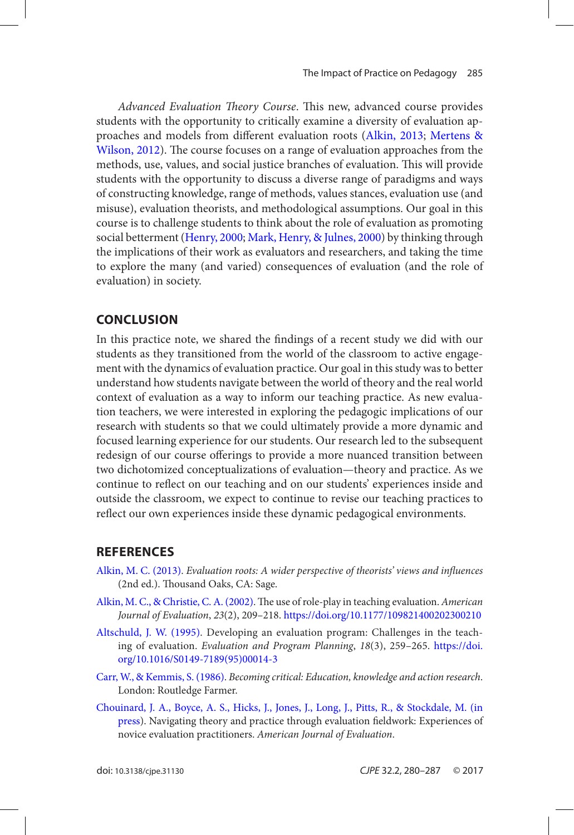<span id="page-5-0"></span>*Advanced Evaluation Theory Course*. This new, advanced course provides students with the opportunity to critically examine a diversity of evaluation approaches and models from different evaluation roots (Alkin, 2013; [Mertens &](#page-6-0) [Wilson, 2012](#page-6-0)). The course focuses on a range of evaluation approaches from the methods, use, values, and social justice branches of evaluation. This will provide students with the opportunity to discuss a diverse range of paradigms and ways of constructing knowledge, range of methods, values stances, evaluation use (and misuse), evaluation theorists, and methodological assumptions. Our goal in this course is to challenge students to think about the role of evaluation as promoting social betterment ([Henry, 2000](#page-6-0); [Mark, Henry, & Julnes, 2000](#page-6-0)) by thinking through the implications of their work as evaluators and researchers, and taking the time to explore the many (and varied) consequences of evaluation (and the role of evaluation) in society.

#### **Conclusion**

In this practice note, we shared the findings of a recent study we did with our students as they transitioned from the world of the classroom to active engagement with the dynamics of evaluation practice. Our goal in this study was to better understand how students navigate between the world of theory and the real world context of evaluation as a way to inform our teaching practice. As new evaluation teachers, we were interested in exploring the pedagogic implications of our research with students so that we could ultimately provide a more dynamic and focused learning experience for our students. Our research led to the subsequent redesign of our course offerings to provide a more nuanced transition between two dichotomized conceptualizations of evaluation—theory and practice. As we continue to reflect on our teaching and on our students' experiences inside and outside the classroom, we expect to continue to revise our teaching practices to reflect our own experiences inside these dynamic pedagogical environments.

### **References**

- Alkin, M. C. (2013). *Evaluation roots: A wider perspective of theorists' views and influences* (2nd ed.). Thousand Oaks, CA: Sage.
- [Alkin, M. C., & Christie, C. A. \(2002\)](#page-2-0). The use of role-play in teaching evaluation. *American Journal of Evaluation*, *23*(2), 209–218.<https://doi.org/10.1177/109821400202300210>
- [Altschuld, J. W. \(1995\)](#page-2-0). Developing an evaluation program: Challenges in the teaching of evaluation. *Evaluation and Program Planning*, *18*(3), 259–265. [https://doi.](https://doi.org/10.1016/S0149-7189(95)00014-3) [org/10.1016/S0149-7189\(95\)00014-3](https://doi.org/10.1016/S0149-7189(95)00014-3)
- [Carr, W., & Kemmis, S. \(1986\).](#page-3-0) *Becoming critical: Education, knowledge and action research*. London: Routledge Farmer.
- [Chouinard, J. A., Boyce, A. S., Hicks, J., Jones, J., Long, J., Pitts, R., & Stockdale, M. \(in](#page-1-0)  [press](#page-1-0)). Navigating theory and practice through evaluation fieldwork: Experiences of novice evaluation practitioners. *American Journal of Evaluation*.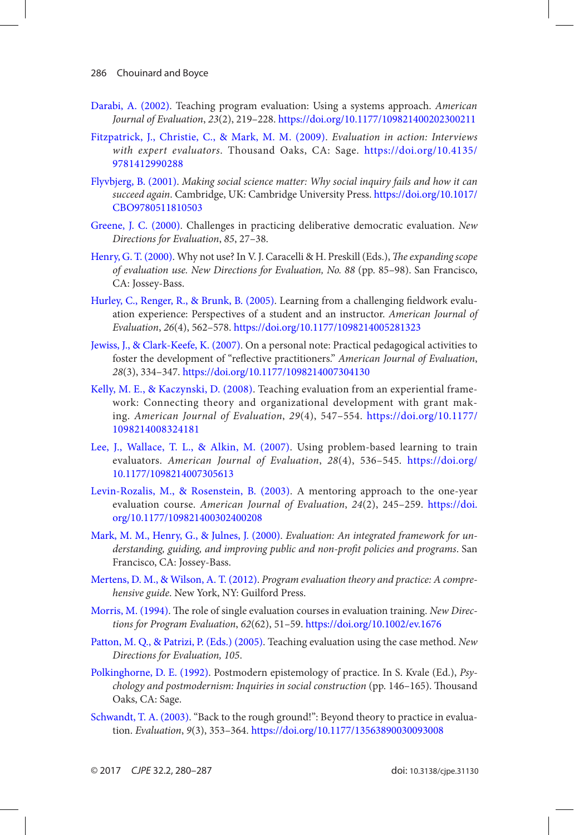- <span id="page-6-0"></span>[Darabi, A. \(2002\)](#page-2-0). Teaching program evaluation: Using a systems approach. *American Journal of Evaluation*, *23*(2), 219–228. <https://doi.org/10.1177/109821400202300211>
- [Fitzpatrick, J., Christie, C., & Mark, M. M. \(2009\)](#page-0-0). *Evaluation in action: Interviews with expert evaluators*. Thousand Oaks, CA: Sage. [https://doi.org/10.4135/](https://doi.org/10.4135/9781412990288) [9781412990288](https://doi.org/10.4135/9781412990288)
- [Flyvbjerg, B. \(2001\)](#page-2-0). *Making social science matter: Why social inquiry fails and how it can succeed again*. Cambridge, UK: Cambridge University Press. [https://doi.org/10.1017/](https://doi.org/10.1017/CBO9780511810503) [CBO9780511810503](https://doi.org/10.1017/CBO9780511810503)
- [Greene, J. C. \(2000\)](#page-3-0). Challenges in practicing deliberative democratic evaluation. *New Directions for Evaluation*, *85*, 27–38.
- [Henry, G. T. \(2000\)](#page-5-0). Why not use? In V. J. Caracelli & H. Preskill (Eds.), *The expanding scope of evaluation use. New Directions for Evaluation, No. 88* (pp. 85–98). San Francisco, CA: Jossey-Bass.
- [Hurley, C., Renger, R., & Brunk, B. \(2005\).](#page-2-0) Learning from a challenging fieldwork evaluation experience: Perspectives of a student and an instructor. *American Journal of Evaluation*, *26*(4), 562–578.<https://doi.org/10.1177/1098214005281323>
- [Jewiss, J., & Clark-Keefe, K. \(2007\)](#page-2-0). On a personal note: Practical pedagogical activities to foster the development of "reflective practitioners." *American Journal of Evaluation*, *28*(3), 334–347. <https://doi.org/10.1177/1098214007304130>
- [Kelly, M. E., & Kaczynski, D. \(2008\)](#page-2-0). Teaching evaluation from an experiential framework: Connecting theory and organizational development with grant making. *American Journal of Evaluation*, *29*(4), 547–554. [https://doi.org/10.1177/](https://doi.org/10.1177/1098214008324181) [1098214008324181](https://doi.org/10.1177/1098214008324181)
- [Lee, J., Wallace, T. L., & Alkin, M. \(2007\)](#page-2-0). Using problem-based learning to train evaluators. *American Journal of Evaluation*, *28*(4), 536–545. [https://doi.org/](https://doi.org/10.1177/1098214007305613) [10.1177/1098214007305613](https://doi.org/10.1177/1098214007305613)
- [Levin-Rozalis, M., & Rosenstein, B. \(2003\)](#page-2-0). A mentoring approach to the one-year evaluation course. *American Journal of Evaluation*, *24*(2), 245–259. [https://doi.](https://doi.org/10.1177/109821400302400208) [org/10.1177/109821400302400208](https://doi.org/10.1177/109821400302400208)
- [Mark, M. M., Henry, G., & Julnes, J. \(2000\)](#page-5-0). *Evaluation: An integrated framework for understanding, guiding, and improving public and non-profit policies and programs*. San Francisco, CA: Jossey-Bass.
- [Mertens, D. M., & Wilson, A. T. \(2012\)](#page-5-0). *Program evaluation theory and practice: A comprehensive guide*. New York, NY: Guilford Press.
- [Morris, M. \(1994\)](#page-2-0). The role of single evaluation courses in evaluation training. *New Directions for Program Evaluation*, *62*(62), 51–59.<https://doi.org/10.1002/ev.1676>
- [Patton, M. Q., & Patrizi, P. \(Eds.\) \(2005\)](#page-4-0). Teaching evaluation using the case method. *New Directions for Evaluation, 105*.
- [Polkinghorne, D. E. \(1992\)](#page-0-0). Postmodern epistemology of practice. In S. Kvale (Ed.), *Psychology and postmodernism: Inquiries in social construction* (pp. 146–165). Thousand Oaks, CA: Sage.
- [Schwandt, T. A. \(2003\)](#page-1-0). "Back to the rough ground!": Beyond theory to practice in evaluation. *Evaluation*, *9*(3), 353–364. <https://doi.org/10.1177/13563890030093008>